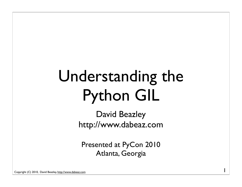#### Understanding the Python GIL

David Beazley http://www.dabeaz.com

Presented at PyCon 2010 Atlanta, Georgia

1

Copyright (C) 2010, David Beazley, http://www.dabeaz.com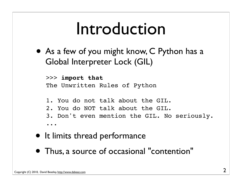#### Introduction

• As a few of you might know, C Python has a Global Interpreter Lock (GIL)

>>> **import that** The Unwritten Rules of Python

- 1. You do not talk about the GIL.
- 2. You do NOT talk about the GIL.
- 3. Don't even mention the GIL. No seriously.

...

- It limits thread performance
- Thus, a source of occasional "contention"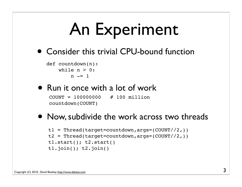## An Experiment

• Consider this trivial CPU-bound function

```
def countdown(n):
    while n > 0:
        n = 1
```
#### • Run it once with a lot of work<br>COUNT = 100000000 # 100 million

 $CNOTINT = 100000000$ countdown(COUNT)

#### • Now, subdivide the work across two threads

```
t1 = Thread(target=countdown, args=(COUNT//2,))
t2 = Thread(target=countdown, args=(COUNT//2,))t1.start(); t2.start()
t1.join(); t2.join()
```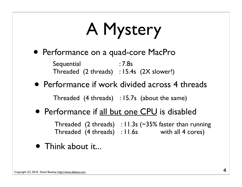# A Mystery

• Performance on a quad-core MacPro

**Sequential** Threaded (2 threads) : 15.4s (2X slower!) : 7.8s

• Performance if work divided across 4 threads

Threaded (4 threads) : 15.7s (about the same)

• Performance if all but one CPU is disabled

Threaded (2 threads) : 11.3s (~35% faster than running Threaded (4 threads) : 11.6s with all 4 cores)

• Think about it...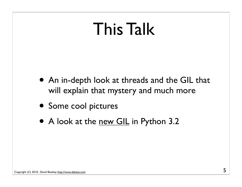#### This Talk

- An in-depth look at threads and the GIL that will explain that mystery and much more
- Some cool pictures
- A look at the new GIL in Python 3.2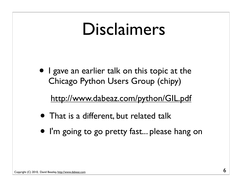#### Disclaimers

• I gave an earlier talk on this topic at the Chicago Python Users Group (chipy)

http://www.dabeaz.com/python/GIL.pdf

- That is a different, but related talk
- I'm going to go pretty fast... please hang on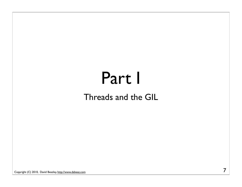# Part I

#### Threads and the GIL

Copyright (C) 2010, David Beazley, http://www.dabeaz.com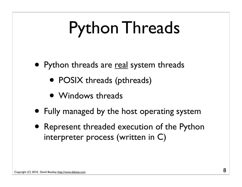### Python Threads

- Python threads are real system threads
	- POSIX threads (pthreads)
	- Windows threads
- Fully managed by the host operating system
- Represent threaded execution of the Python interpreter process (written in C)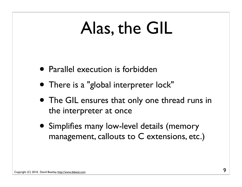#### Alas, the GIL

- Parallel execution is forbidden
- There is a "global interpreter lock"
- The GIL ensures that only one thread runs in the interpreter at once
- Simplifies many low-level details (memory management, callouts to C extensions, etc.)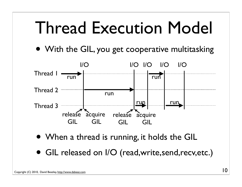#### Thread Execution Model

• With the GIL, you get cooperative multitasking



- When a thread is running, it holds the GIL
- GIL released on I/O (read, write, send, recv, etc.)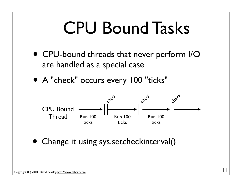#### CPU Bound Tasks

- CPU-bound threads that never perform I/O are handled as a special case
- A "check" occurs every 100 "ticks"



• Change it using sys.setcheckinterval()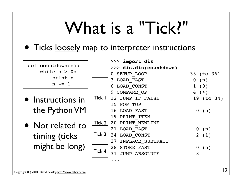#### What is a "Tick?"

#### • Ticks <u>loosely</u> map to interpreter instructions

- def countdown(n): while  $n > 0$ : print n  $n$   $=$  1
- Instructions in the Python VM
- Not related to timing (ticks might be long)

|        | >>> import dis                         |                     |
|--------|----------------------------------------|---------------------|
|        | >>> dis.dis(countdown)<br>0 SETUP LOOP | 33 (to 36)          |
|        | 3 LOAD FAST                            | 0 (n)               |
|        | 6 LOAD CONST                           | 1(0)                |
|        | 9 COMPARE OP                           | 4(>)                |
|        | Tick   12 JUMP IF FALSE                | 19 (to 34)          |
|        | 15 POP TOP                             |                     |
|        | 16 LOAD FAST                           | $0$ (n)             |
|        | 19 PRINT ITEM                          |                     |
|        | Tick 2 20 PRINT NEWLINE                |                     |
|        | 21 LOAD FAST                           | 0(n)                |
|        | Tick 3 24 LOAD_CONST                   | 2(1)                |
|        | 27 INPLACE SUBTRACT                    |                     |
|        | 28 STORE FAST                          | (n)<br>$\mathbf{0}$ |
| Tick 4 | 31 JUMP ABSOLUTE                       | 3                   |
|        |                                        |                     |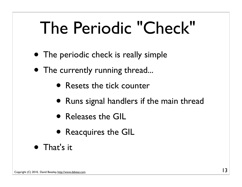#### The Periodic "Check"

- The periodic check is really simple
- The currently running thread...
	- Resets the tick counter
	- Runs signal handlers if the main thread
	- Releases the GIL
	- Reacquires the GIL
- That's it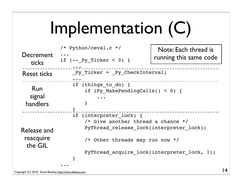## Implementation (C)

| Decrement                                                                               | $/*$ Python/ceval.c $*/$                                                                                                                                                                      | Note: Each thread is<br>running this same code |  |
|-----------------------------------------------------------------------------------------|-----------------------------------------------------------------------------------------------------------------------------------------------------------------------------------------------|------------------------------------------------|--|
| ticks                                                                                   | if $(- - Py Tucker < 0)$ {                                                                                                                                                                    |                                                |  |
| <b>Reset ticks</b>                                                                      | Py Ticker = Py CheckInterval;                                                                                                                                                                 |                                                |  |
| if (things to do) $\{$<br>Run<br>if (Py MakePendingCalls() < 0) {<br>signal<br>handlers |                                                                                                                                                                                               |                                                |  |
| Release and<br>reacquire<br>the GIL                                                     | if (interpreter lock) {<br>/* Give another thread a chance $*/$<br>PyThread release lock(interpreter lock);<br>/* Other threads may run now */<br>PyThread acquire lock(interpreter lock, 1); |                                                |  |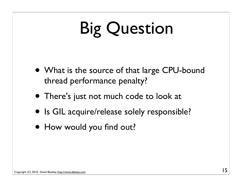## Big Question

- What is the source of that large CPU-bound thread performance penalty?
- There's just not much code to look at
- Is GIL acquire/release solely responsible?
- How would you find out?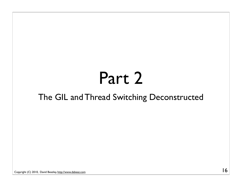#### Part 2

#### The GIL and Thread Switching Deconstructed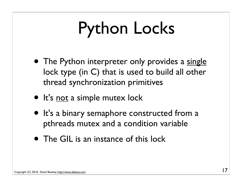## Python Locks

- The Python interpreter only provides a single lock type (in C) that is used to build all other thread synchronization primitives
- It's not a simple mutex lock
- It's a binary semaphore constructed from a pthreads mutex and a condition variable
- The GIL is an instance of this lock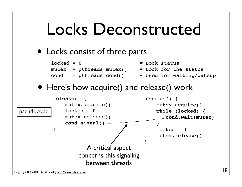#### Locks Deconstructed

• Locks consist of three parts

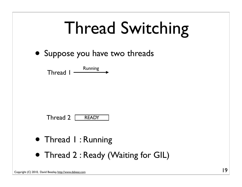| <b>Thread Switching</b>                       |  |  |  |  |
|-----------------------------------------------|--|--|--|--|
| • Suppose you have two threads                |  |  |  |  |
| Thread $\mathsf{l}$ $\longrightarrow$ Running |  |  |  |  |
|                                               |  |  |  |  |
| Thread $2 \mid$<br><b>READY</b>               |  |  |  |  |
| • Thread I: Running                           |  |  |  |  |
| • Thread 2: Ready (Waiting for GIL)           |  |  |  |  |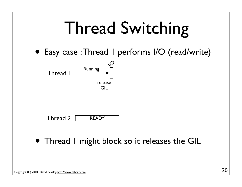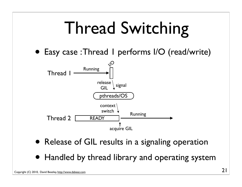

• Handled by thread library and operating system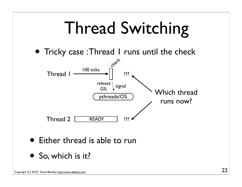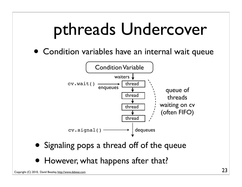#### pthreads Undercover

• Condition variables have an internal wait queue



- Signaling pops a thread off of the queue
- However, what happens after that?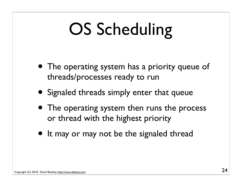### OS Scheduling

- The operating system has a priority queue of threads/processes ready to run
- Signaled threads simply enter that queue
- The operating system then runs the process or thread with the highest priority
- It may or may not be the signaled thread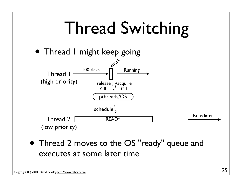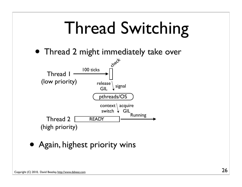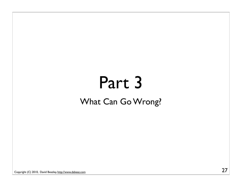#### Part 3 What Can Go Wrong?

Copyright (C) 2010, David Beazley, http://www.dabeaz.com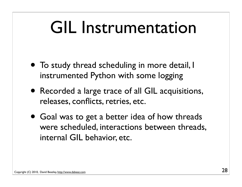#### GIL Instrumentation

- To study thread scheduling in more detail, I instrumented Python with some logging
- Recorded a large trace of all GIL acquisitions, releases, conflicts, retries, etc.
- Goal was to get a better idea of how threads were scheduled, interactions between threads, internal GIL behavior, etc.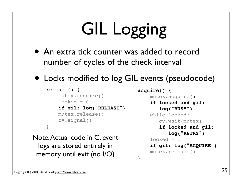# GIL Logging

- An extra tick counter was added to record number of cycles of the check interval
- Locks modified to log GIL events (pseudocode)

}

```
release() {
     mutex.acquire()
    locked = 0 if gil: log("RELEASE")
     mutex.release()
     cv.signal()
}
```
Note: Actual code in C, event logs are stored entirely in memory until exit (no I/O)

```
acquire() {
     mutex.acquire()
     if locked and gil:
        log("BUSY")
     while locked:
        cv.wait(mutex)
        if locked and gil:
            log("RETRY")
    locked = 1 if gil: log("ACQUIRE")
     mutex.release()
```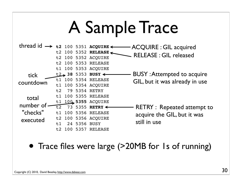#### A Sample Trace

 $t$ hread id  $\rightarrow$   $t$ 2 100 5351  $ac$ QUIRE  $\longleftarrow$  ACQUIRE : GIL acquired t2 100 5352 **RELEASE** t2 100 5352 RELEASE RELEASE : GIL released t2 100 5353 RELEASE t1 100 5353 ACQUIRE t2 **38** 5353 **BUSY** BUSY : Attempted to acquire t1 100 5354 RELEASE t1 100 5354 ACQUIRE t2 79 5354 RETRY t1 100 5355 RELEASE t1 100 **5355** ACQUIRE  $t_2$  73 5355 **RETRY** t1 100 5356 RELEASE t2 100 5356 ACQUIRE t1 24 5356 BUSY t2 100 5357 RELEASE GIL, but it was already in use  $-$  RETRY  $:$  Repeated attempt to acquire the GIL, but it was still in use tick countdown total number of "checks" executed

• Trace files were large (>20MB for 1s of running)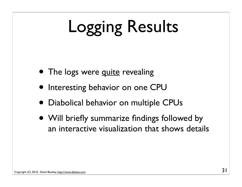# Logging Results

- The logs were quite revealing
- Interesting behavior on one CPU
- Diabolical behavior on multiple CPUs
- Will briefly summarize findings followed by an interactive visualization that shows details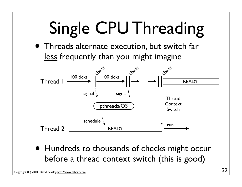# Single CPU Threading

• Threads alternate execution, but switch far less frequently than you might imagine



• Hundreds to thousands of checks might occur before a thread context switch (this is good)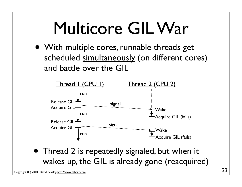#### Multicore GIL War

• With multiple cores, runnable threads get scheduled simultaneously (on different cores) and battle over the GIL



• Thread 2 is repeatedly signaled, but when it wakes up, the GIL is already gone (reacquired)

Copyright (C) 2010, David Beazley, http://www.dabeaz.com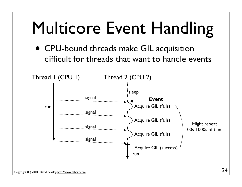#### Multicore Event Handling

• CPU-bound threads make GIL acquisition difficult for threads that want to handle events

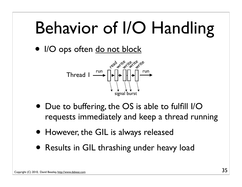#### Behavior of I/O Handling

• I/O ops often do not block



- Due to buffering, the OS is able to fulfill I/O requests immediately and keep a thread running
- However, the GIL is always released
- Results in GIL thrashing under heavy load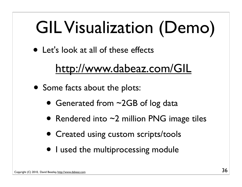## GIL Visualization (Demo)

• Let's look at all of these effects

#### http://www.dabeaz.com/GIL

- Some facts about the plots:
	- Generated from ~2GB of log data
	- Rendered into  $\sim$ 2 million PNG image tiles
	- Created using custom scripts/tools
	- I used the multiprocessing module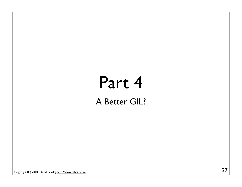#### Part 4 A Better GIL?

Copyright (C) 2010, David Beazley, http://www.dabeaz.com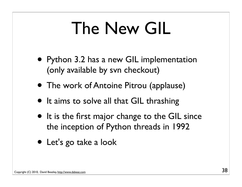#### The New GIL

- Python 3.2 has a new GIL implementation (only available by svn checkout)
- The work of Antoine Pitrou (applause)
- It aims to solve all that GIL thrashing
- It is the first major change to the GIL since the inception of Python threads in 1992
- Let's go take a look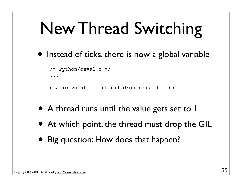### New Thread Switching

• Instead of ticks, there is now a global variable

```
/* Python/ceval.c */
...
```

```
static volatile int gil drop request = 0;
```
- A thread runs until the value gets set to 1
- At which point, the thread must drop the GIL
- Big question: How does that happen?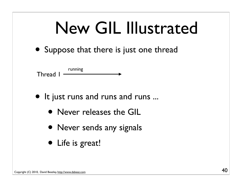• Suppose that there is just one thread



- It just runs and runs and runs ...
	- Never releases the GIL
	- Never sends any signals
	- Life is great!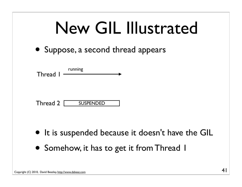| New GIL Illustrated                                                                            |  |  |  |  |  |
|------------------------------------------------------------------------------------------------|--|--|--|--|--|
| Suppose, a second thread appears                                                               |  |  |  |  |  |
| Thread I Frunning                                                                              |  |  |  |  |  |
| Thread 2 SUSPENDED                                                                             |  |  |  |  |  |
| • It is suspended because it doesn't have the GIL<br>• Somehow, it has to get it from Thread I |  |  |  |  |  |
|                                                                                                |  |  |  |  |  |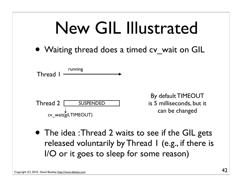|  | New GIL Illustrated |
|--|---------------------|
|--|---------------------|

• Waiting thread does a timed cv wait on GIL



• The idea: Thread 2 waits to see if the GIL gets released voluntarily by Thread 1 (e.g., if there is I/O or it goes to sleep for some reason)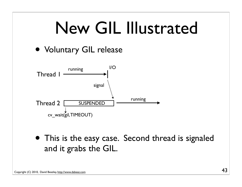

• This is the easy case. Second thread is signaled and it grabs the GIL.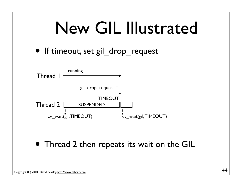• If timeout, set gil\_drop\_request



• Thread 2 then repeats its wait on the GIL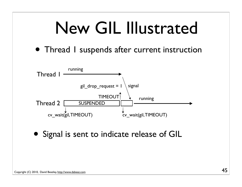• Thread I suspends after current instruction



• Signal is sent to indicate release of GIL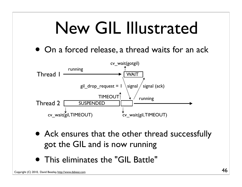• On a forced release, a thread waits for an ack



- Ack ensures that the other thread successfully got the GIL and is now running
- This eliminates the "GIL Battle"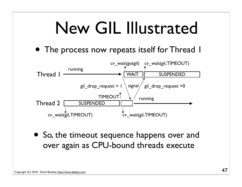• The process now repeats itself for Thread 1



• So, the timeout sequence happens over and over again as CPU-bound threads execute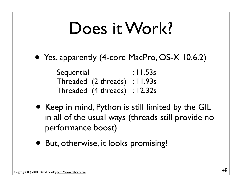#### Does it Work?

• Yes, apparently (4-core MacPro, OS-X 10.6.2)

| Sequential |                               | : $11.53s$ |
|------------|-------------------------------|------------|
|            | Threaded (2 threads) : 11.93s |            |
|            | Threaded (4 threads) : 12.32s |            |

- Keep in mind, Python is still limited by the GIL in all of the usual ways (threads still provide no performance boost)
- But, otherwise, it looks promising!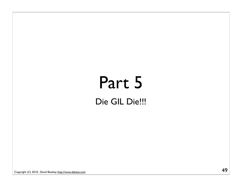#### Part 5 Die GIL Die!!!

Copyright (C) 2010, David Beazley, http://www.dabeaz.com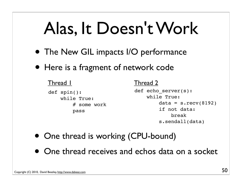#### Alas, It Doesn't Work

- The New GIL impacts I/O performance
- Here is a fragment of network code

```
def spin():
     while True:
         # some work
         pass
                            def echo_server(s):
                                 while True:
                                    data = s \cdot recv(8192) if not data:
                                         break
                                     s.sendall(data)
Thread 1 Thread 2
```
- One thread is working (CPU-bound)
- One thread receives and echos data on a socket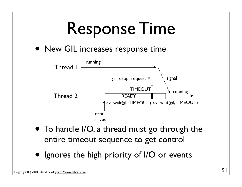

• Ignores the high priority of I/O or events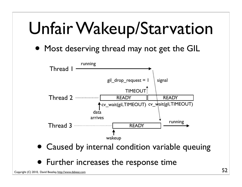#### Unfair Wakeup/Starvation

• Most deserving thread may not get the GIL



- Caused by internal condition variable queuing
- Further increases the response time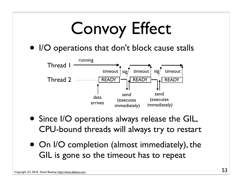

- Since I/O operations always release the GIL, CPU-bound threads will always try to restart
- On I/O completion (almost immediately), the GIL is gone so the timeout has to repeat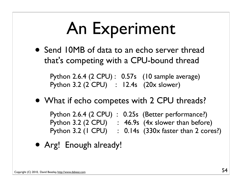### An Experiment

• Send 10MB of data to an echo server thread that's competing with a CPU-bound thread

Python 2.6.4 (2 CPU) : 0.57s (10 sample average) Python 3.2 (2 CPU) : 12.4s (20x slower)

• What if echo competes with 2 CPU threads?

Python 2.6.4 (2 CPU) : 0.25s (Better performance?) Python 3.2  $(2$  CPU) : 46.9s  $(4x$  slower than before) Python 3.2 ( $ICPU$ ) :  $0.14s$  (330x faster than 2 cores?)

• Arg! Enough already!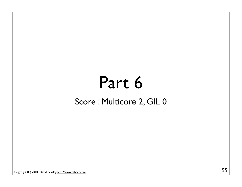#### Part 6 Score : Multicore 2, GIL 0

Copyright (C) 2010, David Beazley, http://www.dabeaz.com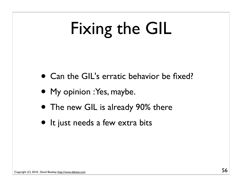## Fixing the GIL

- Can the GIL's erratic behavior be fixed?
- My opinion : Yes, maybe.
- The new GIL is already 90% there
- It just needs a few extra bits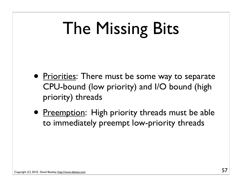## The Missing Bits

- Priorities: There must be some way to separate CPU-bound (low priority) and I/O bound (high priority) threads
- Preemption: High priority threads must be able to immediately preempt low-priority threads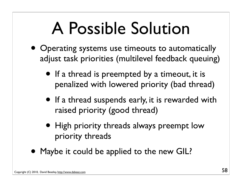#### A Possible Solution

- Operating systems use timeouts to automatically adjust task priorities (multilevel feedback queuing)
	- If a thread is preempted by a timeout, it is penalized with lowered priority (bad thread)
	- If a thread suspends early, it is rewarded with raised priority (good thread)
	- High priority threads always preempt low priority threads
- Maybe it could be applied to the new GIL?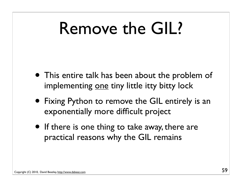#### Remove the GIL?

- This entire talk has been about the problem of implementing one tiny little itty bitty lock
- Fixing Python to remove the GIL entirely is an exponentially more difficult project
- If there is one thing to take away, there are practical reasons why the GIL remains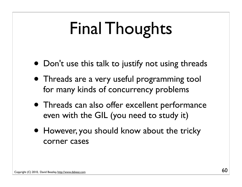## Final Thoughts

- Don't use this talk to justify not using threads
- Threads are a very useful programming tool for many kinds of concurrency problems
- Threads can also offer excellent performance even with the GIL (you need to study it)
- However, you should know about the tricky corner cases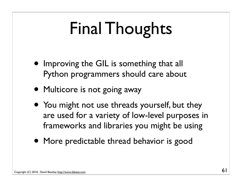## Final Thoughts

- Improving the GIL is something that all Python programmers should care about
- Multicore is not going away
- You might not use threads yourself, but they are used for a variety of low-level purposes in frameworks and libraries you might be using
- More predictable thread behavior is good